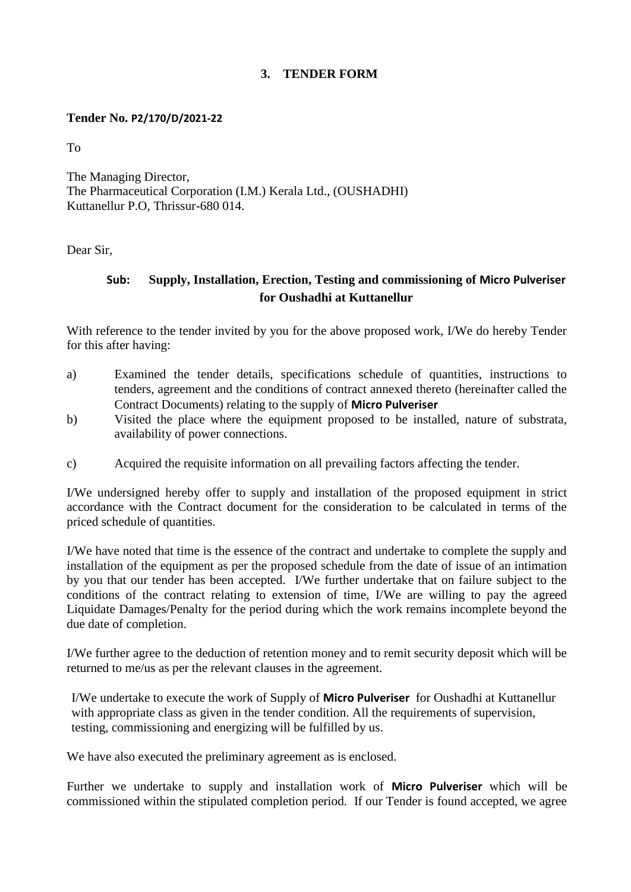## **3. TENDER FORM**

## **Tender No. P2/170/D/2021-22**

To

The Managing Director, The Pharmaceutical Corporation (I.M.) Kerala Ltd., (OUSHADHI) Kuttanellur P.O, Thrissur-680 014.

Dear Sir,

## **Sub: Supply, Installation, Erection, Testing and commissioning of Micro Pulveriser for Oushadhi at Kuttanellur**

With reference to the tender invited by you for the above proposed work, I/We do hereby Tender for this after having:

- a) Examined the tender details, specifications schedule of quantities, instructions to tenders, agreement and the conditions of contract annexed thereto (hereinafter called the Contract Documents) relating to the supply of **Micro Pulveriser**
- b) Visited the place where the equipment proposed to be installed, nature of substrata, availability of power connections.
- c) Acquired the requisite information on all prevailing factors affecting the tender.

I/We undersigned hereby offer to supply and installation of the proposed equipment in strict accordance with the Contract document for the consideration to be calculated in terms of the priced schedule of quantities.

I/We have noted that time is the essence of the contract and undertake to complete the supply and installation of the equipment as per the proposed schedule from the date of issue of an intimation by you that our tender has been accepted. I/We further undertake that on failure subject to the conditions of the contract relating to extension of time, I/We are willing to pay the agreed Liquidate Damages/Penalty for the period during which the work remains incomplete beyond the due date of completion.

I/We further agree to the deduction of retention money and to remit security deposit which will be returned to me/us as per the relevant clauses in the agreement.

I/We undertake to execute the work of Supply of **Micro Pulveriser** for Oushadhi at Kuttanellur with appropriate class as given in the tender condition. All the requirements of supervision, testing, commissioning and energizing will be fulfilled by us.

We have also executed the preliminary agreement as is enclosed.

Further we undertake to supply and installation work of **Micro Pulveriser** which will be commissioned within the stipulated completion period. If our Tender is found accepted, we agree